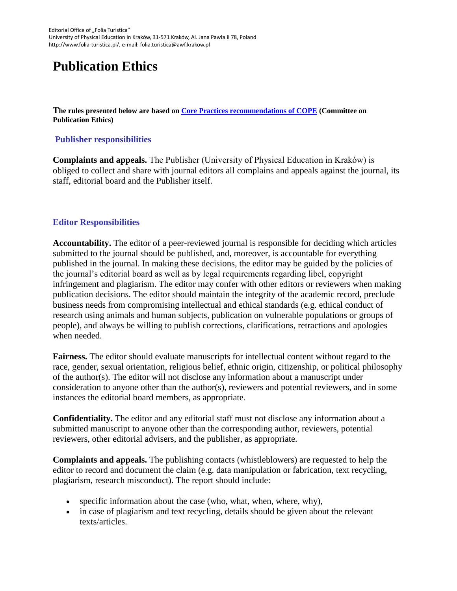# **Publication Ethics**

**The rules presented below are based on [Core Practices recommendations of COPE](https://publicationethics.org/core-practices) (Committee on Publication Ethics)**

### **Publisher responsibilities**

**Complaints and appeals.** The Publisher (University of Physical Education in Kraków) is obliged to collect and share with journal editors all complains and appeals against the journal, its staff, editorial board and the Publisher itself.

### **Editor Responsibilities**

**Accountability.** The editor of a peer-reviewed journal is responsible for deciding which articles submitted to the journal should be published, and, moreover, is accountable for everything published in the journal. In making these decisions, the editor may be guided by the policies of the journal's editorial board as well as by legal requirements regarding libel, copyright infringement and plagiarism. The editor may confer with other editors or reviewers when making publication decisions. The editor should maintain the integrity of the academic record, preclude business needs from compromising intellectual and ethical standards (e.g. ethical conduct of research using animals and human subjects, publication on vulnerable populations or groups of people), and always be willing to publish corrections, clarifications, retractions and apologies when needed.

**Fairness.** The editor should evaluate manuscripts for intellectual content without regard to the race, gender, sexual orientation, religious belief, ethnic origin, citizenship, or political philosophy of the author(s). The editor will not disclose any information about a manuscript under consideration to anyone other than the author(s), reviewers and potential reviewers, and in some instances the editorial board members, as appropriate.

**Confidentiality.** The editor and any editorial staff must not disclose any information about a submitted manuscript to anyone other than the corresponding author, reviewers, potential reviewers, other editorial advisers, and the publisher, as appropriate.

**Complaints and appeals.** The publishing contacts (whistleblowers) are requested to help the editor to record and document the claim (e.g. data manipulation or fabrication, text recycling, plagiarism, research misconduct). The report should include:

- specific information about the case (who, what, when, where, why),
- in case of plagiarism and text recycling, details should be given about the relevant texts/articles.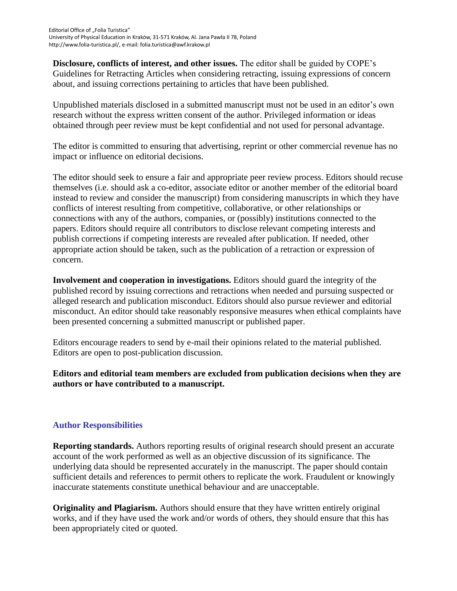**Disclosure, conflicts of interest, and other issues.** The editor shall be guided by COPE's Guidelines for Retracting Articles when considering retracting, issuing expressions of concern about, and issuing corrections pertaining to articles that have been published.

Unpublished materials disclosed in a submitted manuscript must not be used in an editor's own research without the express written consent of the author. Privileged information or ideas obtained through peer review must be kept confidential and not used for personal advantage.

The editor is committed to ensuring that advertising, reprint or other commercial revenue has no impact or influence on editorial decisions.

The editor should seek to ensure a fair and appropriate peer review process. Editors should recuse themselves (i.e. should ask a co-editor, associate editor or another member of the editorial board instead to review and consider the manuscript) from considering manuscripts in which they have conflicts of interest resulting from competitive, collaborative, or other relationships or connections with any of the authors, companies, or (possibly) institutions connected to the papers. Editors should require all contributors to disclose relevant competing interests and publish corrections if competing interests are revealed after publication. If needed, other appropriate action should be taken, such as the publication of a retraction or expression of concern.

**Involvement and cooperation in investigations.** Editors should guard the integrity of the published record by issuing corrections and retractions when needed and pursuing suspected or alleged research and publication misconduct. Editors should also pursue reviewer and editorial misconduct. An editor should take reasonably responsive measures when ethical complaints have been presented concerning a submitted manuscript or published paper.

Editors encourage readers to send by e-mail their opinions related to the material published. Editors are open to post-publication discussion.

**Editors and editorial team members are excluded from publication decisions when they are authors or have contributed to a manuscript.**

# **Author Responsibilities**

**Reporting standards.** Authors reporting results of original research should present an accurate account of the work performed as well as an objective discussion of its significance. The underlying data should be represented accurately in the manuscript. The paper should contain sufficient details and references to permit others to replicate the work. Fraudulent or knowingly inaccurate statements constitute unethical behaviour and are unacceptable.

**Originality and Plagiarism.** Authors should ensure that they have written entirely original works, and if they have used the work and/or words of others, they should ensure that this has been appropriately cited or quoted.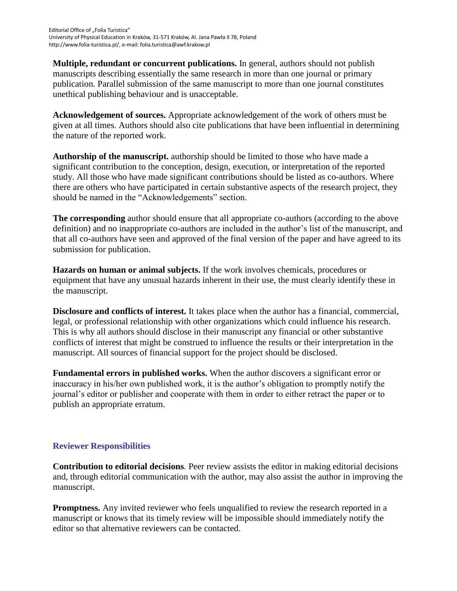**Multiple, redundant or concurrent publications.** In general, authors should not publish manuscripts describing essentially the same research in more than one journal or primary publication. Parallel submission of the same manuscript to more than one journal constitutes unethical publishing behaviour and is unacceptable.

**Acknowledgement of sources.** Appropriate acknowledgement of the work of others must be given at all times. Authors should also cite publications that have been influential in determining the nature of the reported work.

**Authorship of the manuscript.** authorship should be limited to those who have made a significant contribution to the conception, design, execution, or interpretation of the reported study. All those who have made significant contributions should be listed as co-authors. Where there are others who have participated in certain substantive aspects of the research project, they should be named in the "Acknowledgements" section.

**The corresponding** author should ensure that all appropriate co-authors (according to the above definition) and no inappropriate co-authors are included in the author's list of the manuscript, and that all co-authors have seen and approved of the final version of the paper and have agreed to its submission for publication.

**Hazards on human or animal subjects.** If the work involves chemicals, procedures or equipment that have any unusual hazards inherent in their use, the must clearly identify these in the manuscript.

**Disclosure and conflicts of interest.** It takes place when the author has a financial, commercial, legal, or professional relationship with other organizations which could influence his research. This is why all authors should disclose in their manuscript any financial or other substantive conflicts of interest that might be construed to influence the results or their interpretation in the manuscript. All sources of financial support for the project should be disclosed.

**Fundamental errors in published works.** When the author discovers a significant error or inaccuracy in his/her own published work, it is the author's obligation to promptly notify the journal's editor or publisher and cooperate with them in order to either retract the paper or to publish an appropriate erratum.

# **Reviewer Responsibilities**

**Contribution to editorial decisions***.* Peer review assists the editor in making editorial decisions and, through editorial communication with the author, may also assist the author in improving the manuscript.

**Promptness.** Any invited reviewer who feels unqualified to review the research reported in a manuscript or knows that its timely review will be impossible should immediately notify the editor so that alternative reviewers can be contacted.